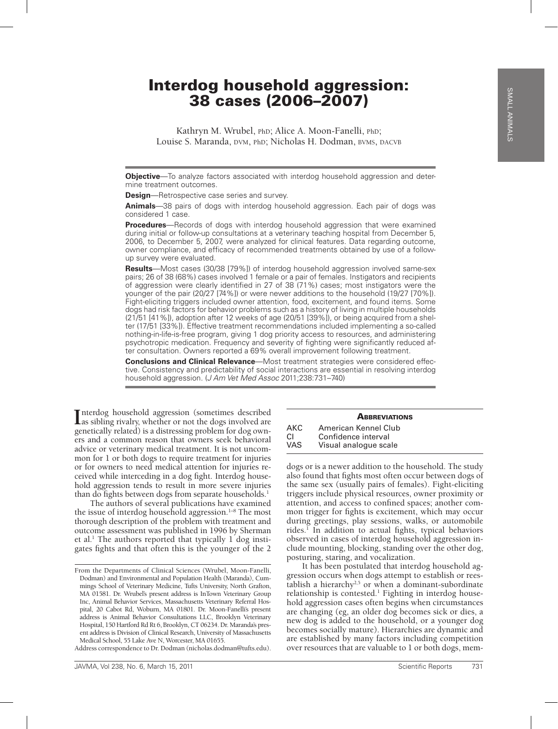# Interdog household aggression: 38 cases (2006–2007)

Kathryn M. Wrubel, PhD; Alice A. Moon-Fanelli, PhD; Louise S. Maranda, DVM, PhD; Nicholas H. Dodman, BVMS, DACVB

**Objective**—To analyze factors associated with interdog household aggression and determine treatment outcomes.

**Design**—Retrospective case series and survey.

**Animals**—38 pairs of dogs with interdog household aggression. Each pair of dogs was considered 1 case.

**Procedures**—Records of dogs with interdog household aggression that were examined during initial or follow-up consultations at a veterinary teaching hospital from December 5, 2006, to December 5, 2007, were analyzed for clinical features. Data regarding outcome, owner compliance, and efficacy of recommended treatments obtained by use of a followup survey were evaluated.

**Results**—Most cases (30/38 [79%]) of interdog household aggression involved same-sex pairs; 26 of 38 (68%) cases involved 1 female or a pair of females. Instigators and recipients of aggression were clearly identified in 27 of 38 (71%) cases; most instigators were the younger of the pair (20/27 [74%]) or were newer additions to the household (19/27 [70%]). Fight-eliciting triggers included owner attention, food, excitement, and found items. Some dogs had risk factors for behavior problems such as a history of living in multiple households (21/51 [41%]), adoption after 12 weeks of age (20/51 [39%]), or being acquired from a shelter (17/51 [33%]). Effective treatment recommendations included implementing a so-called nothing-in-life-is-free program, giving 1 dog priority access to resources, and administering psychotropic medication. Frequency and severity of fighting were significantly reduced after consultation. Owners reported a 69% overall improvement following treatment.

**Conclusions and Clinical Relevance**—Most treatment strategies were considered effective. Consistency and predictability of social interactions are essential in resolving interdog household aggression. (*J Am Vet Med Assoc* 2011;238:731–740)

Interdog household aggression (sometimes described<br>
as sibling rivalry, whether or not the dogs involved are as sibling rivalry, whether or not the dogs involved are genetically related) is a distressing problem for dog owners and a common reason that owners seek behavioral advice or veterinary medical treatment. It is not uncommon for 1 or both dogs to require treatment for injuries or for owners to need medical attention for injuries received while interceding in a dog fight. Interdog household aggression tends to result in more severe injuries than do fights between dogs from separate households.<sup>1</sup>

The authors of several publications have examined the issue of interdog household aggression.<sup>1-8</sup> The most thorough description of the problem with treatment and outcome assessment was published in 1996 by Sherman et al.<sup>1</sup> The authors reported that typically 1 dog instigates fights and that often this is the younger of the 2

Address correspondence to Dr. Dodman (nicholas.dodman@tufts.edu).

|     | <b>ABBREVIATIONS</b>  |
|-----|-----------------------|
| AKC | American Kennel Club  |
| СI  | Confidence interval   |
| VAS | Visual analogue scale |

dogs or is a newer addition to the household. The study also found that fights most often occur between dogs of the same sex (usually pairs of females). Fight-eliciting triggers include physical resources, owner proximity or attention, and access to confined spaces; another common trigger for fights is excitement, which may occur during greetings, play sessions, walks, or automobile rides.1 In addition to actual fights, typical behaviors observed in cases of interdog household aggression include mounting, blocking, standing over the other dog, posturing, staring, and vocalization.

Abbreviations

It has been postulated that interdog household aggression occurs when dogs attempt to establish or reestablish a hierarchy<sup>2,5</sup> or when a dominant-subordinate relationship is contested.<sup>1</sup> Fighting in interdog household aggression cases often begins when circumstances are changing (eg, an older dog becomes sick or dies, a new dog is added to the household, or a younger dog becomes socially mature). Hierarchies are dynamic and are established by many factors including competition over resources that are valuable to 1 or both dogs, mem-

From the Departments of Clinical Sciences (Wrubel, Moon-Fanelli, Dodman) and Environmental and Population Health (Maranda), Cummings School of Veterinary Medicine, Tufts University, North Grafton, MA 01581. Dr. Wrubel's present address is InTown Veterinary Group Inc, Animal Behavior Services, Massachusetts Veterinary Referral Hospital, 20 Cabot Rd, Woburn, MA 01801. Dr. Moon-Fanelli's present address is Animal Behavior Consultations LLC, Brooklyn Veterinary Hospital, 150 Hartford Rd Rt 6, Brooklyn, CT 06234. Dr. Maranda's present address is Division of Clinical Research, University of Massachusetts Medical School, 55 Lake Ave N, Worcester, MA 01655.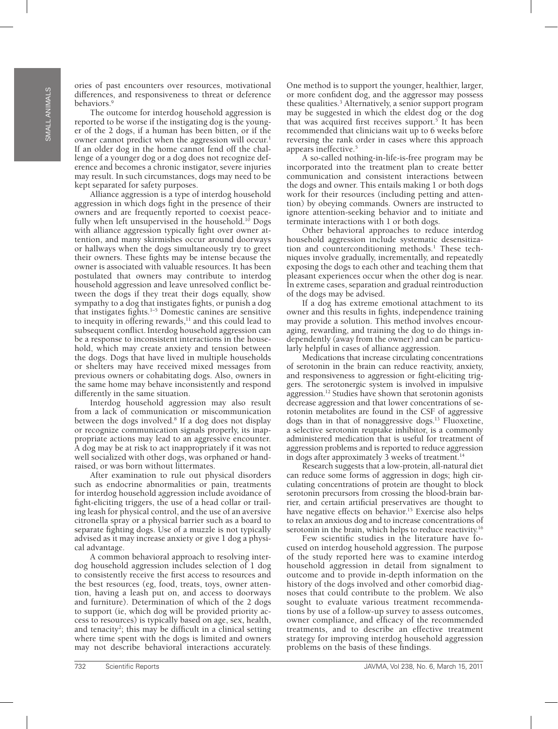ories of past encounters over resources, motivational differences, and responsiveness to threat or deference behaviors.<sup>9</sup>

The outcome for interdog household aggression is reported to be worse if the instigating dog is the younger of the 2 dogs, if a human has been bitten, or if the owner cannot predict when the aggression will occur.<sup>1</sup> If an older dog in the home cannot fend off the challenge of a younger dog or a dog does not recognize deference and becomes a chronic instigator, severe injuries may result. In such circumstances, dogs may need to be kept separated for safety purposes.

Alliance aggression is a type of interdog household aggression in which dogs fight in the presence of their owners and are frequently reported to coexist peacefully when left unsupervised in the household.<sup>10</sup> Dogs with alliance aggression typically fight over owner attention, and many skirmishes occur around doorways or hallways when the dogs simultaneously try to greet their owners. These fights may be intense because the owner is associated with valuable resources. It has been postulated that owners may contribute to interdog household aggression and leave unresolved conflict between the dogs if they treat their dogs equally, show sympathy to a dog that instigates fights, or punish a dog that instigates fights.1–5 Domestic canines are sensitive to inequity in offering rewards, $11$  and this could lead to subsequent conflict. Interdog household aggression can be a response to inconsistent interactions in the household, which may create anxiety and tension between the dogs. Dogs that have lived in multiple households or shelters may have received mixed messages from previous owners or cohabitating dogs. Also, owners in the same home may behave inconsistently and respond differently in the same situation.

Interdog household aggression may also result from a lack of communication or miscommunication between the dogs involved.<sup>8</sup> If a dog does not display or recognize communication signals properly, its inappropriate actions may lead to an aggressive encounter. A dog may be at risk to act inappropriately if it was not well socialized with other dogs, was orphaned or handraised, or was born without littermates.

After examination to rule out physical disorders such as endocrine abnormalities or pain, treatments for interdog household aggression include avoidance of fight-eliciting triggers, the use of a head collar or trailing leash for physical control, and the use of an aversive citronella spray or a physical barrier such as a board to separate fighting dogs. Use of a muzzle is not typically advised as it may increase anxiety or give 1 dog a physical advantage.

A common behavioral approach to resolving interdog household aggression includes selection of 1 dog to consistently receive the first access to resources and the best resources (eg, food, treats, toys, owner attention, having a leash put on, and access to doorways and furniture). Determination of which of the 2 dogs to support (ie, which dog will be provided priority access to resources) is typically based on age, sex, health, and tenacity<sup>2</sup>; this may be difficult in a clinical setting where time spent with the dogs is limited and owners may not describe behavioral interactions accurately.

One method is to support the younger, healthier, larger, or more confident dog, and the aggressor may possess these qualities.3 Alternatively, a senior support program may be suggested in which the eldest dog or the dog that was acquired first receives support.<sup>5</sup> It has been recommended that clinicians wait up to 6 weeks before reversing the rank order in cases where this approach appears ineffective.5

A so-called nothing-in-life-is-free program may be incorporated into the treatment plan to create better communication and consistent interactions between the dogs and owner. This entails making 1 or both dogs work for their resources (including petting and attention) by obeying commands. Owners are instructed to ignore attention-seeking behavior and to initiate and terminate interactions with 1 or both dogs.

Other behavioral approaches to reduce interdog household aggression include systematic desensitization and counterconditioning methods.<sup>1</sup> These techniques involve gradually, incrementally, and repeatedly exposing the dogs to each other and teaching them that pleasant experiences occur when the other dog is near. In extreme cases, separation and gradual reintroduction of the dogs may be advised.

If a dog has extreme emotional attachment to its owner and this results in fights, independence training may provide a solution. This method involves encouraging, rewarding, and training the dog to do things independently (away from the owner) and can be particularly helpful in cases of alliance aggression.

Medications that increase circulating concentrations of serotonin in the brain can reduce reactivity, anxiety, and responsiveness to aggression or fight-eliciting triggers. The serotonergic system is involved in impulsive aggression.12 Studies have shown that serotonin agonists decrease aggression and that lower concentrations of serotonin metabolites are found in the CSF of aggressive dogs than in that of nonaggressive dogs.13 Fluoxetine, a selective serotonin reuptake inhibitor, is a commonly administered medication that is useful for treatment of aggression problems and is reported to reduce aggression in dogs after approximately  $3$  weeks of treatment.<sup>14</sup>

Research suggests that a low-protein, all-natural diet can reduce some forms of aggression in dogs; high circulating concentrations of protein are thought to block serotonin precursors from crossing the blood-brain barrier, and certain artificial preservatives are thought to have negative effects on behavior.<sup>15</sup> Exercise also helps to relax an anxious dog and to increase concentrations of serotonin in the brain, which helps to reduce reactivity.<sup>16</sup>

Few scientific studies in the literature have focused on interdog household aggression. The purpose of the study reported here was to examine interdog household aggression in detail from signalment to outcome and to provide in-depth information on the history of the dogs involved and other comorbid diagnoses that could contribute to the problem. We also sought to evaluate various treatment recommendations by use of a follow-up survey to assess outcomes, owner compliance, and efficacy of the recommended treatments, and to describe an effective treatment strategy for improving interdog household aggression problems on the basis of these findings.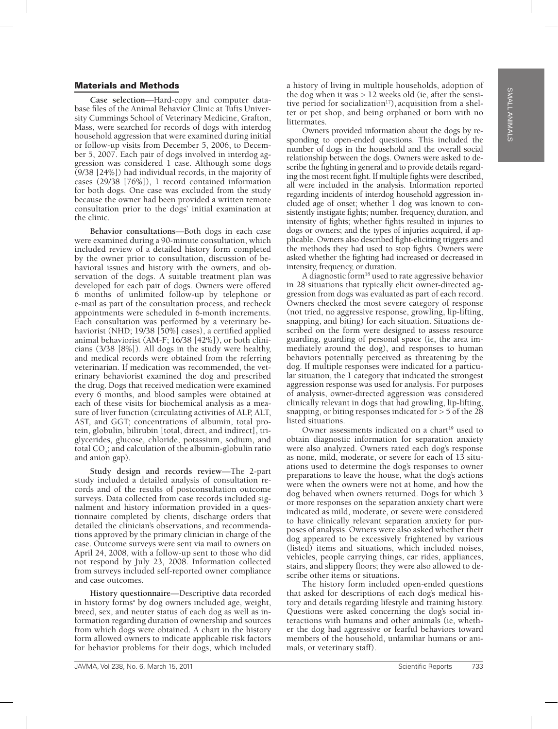## Materials and Methods

**Case selection**—Hard-copy and computer database files of the Animal Behavior Clinic at Tufts University Cummings School of Veterinary Medicine, Grafton, Mass, were searched for records of dogs with interdog household aggression that were examined during initial or follow-up visits from December 5, 2006, to December 5, 2007. Each pair of dogs involved in interdog aggression was considered 1 case. Although some dogs (9/38 [24%]) had individual records, in the majority of cases (29/38 [76%]), 1 record contained information for both dogs. One case was excluded from the study because the owner had been provided a written remote consultation prior to the dogs' initial examination at the clinic.

**Behavior consultations**—Both dogs in each case were examined during a 90-minute consultation, which included review of a detailed history form completed by the owner prior to consultation, discussion of behavioral issues and history with the owners, and observation of the dogs. A suitable treatment plan was developed for each pair of dogs. Owners were offered 6 months of unlimited follow-up by telephone or e-mail as part of the consultation process, and recheck appointments were scheduled in 6-month increments. Each consultation was performed by a veterinary behaviorist (NHD; 19/38 [50%] cases), a certified applied animal behaviorist (AM-F; 16/38 [42%]), or both clinicians (3/38 [8%]). All dogs in the study were healthy, and medical records were obtained from the referring veterinarian. If medication was recommended, the veterinary behaviorist examined the dog and prescribed the drug. Dogs that received medication were examined every 6 months, and blood samples were obtained at each of these visits for biochemical analysis as a measure of liver function (circulating activities of ALP, ALT, AST, and GGT; concentrations of albumin, total protein, globulin, bilirubin [total, direct, and indirect], triglycerides, glucose, chloride, potassium, sodium, and total  $CO<sub>2</sub>$ ; and calculation of the albumin-globulin ratio and anion gap).

**Study design and records review**—The 2-part study included a detailed analysis of consultation records and of the results of postconsultation outcome surveys. Data collected from case records included signalment and history information provided in a questionnaire completed by clients, discharge orders that detailed the clinician's observations, and recommendations approved by the primary clinician in charge of the case. Outcome surveys were sent via mail to owners on April 24, 2008, with a follow-up sent to those who did not respond by July 23, 2008. Information collected from surveys included self-reported owner compliance and case outcomes.

**History questionnaire**—Descriptive data recorded in history forms<sup>a</sup> by dog owners included age, weight, breed, sex, and neuter status of each dog as well as information regarding duration of ownership and sources from which dogs were obtained. A chart in the history form allowed owners to indicate applicable risk factors for behavior problems for their dogs, which included

a history of living in multiple households, adoption of the dog when it was  $> 12$  weeks old (ie, after the sensitive period for socialization<sup>17</sup>), acquisition from a shelter or pet shop, and being orphaned or born with no littermates.

Owners provided information about the dogs by responding to open-ended questions. This included the number of dogs in the household and the overall social relationship between the dogs. Owners were asked to describe the fighting in general and to provide details regarding the most recent fight. If multiple fights were described, all were included in the analysis. Information reported regarding incidents of interdog household aggression included age of onset; whether 1 dog was known to consistently instigate fights; number, frequency, duration, and intensity of fights; whether fights resulted in injuries to dogs or owners; and the types of injuries acquired, if applicable. Owners also described fight-eliciting triggers and the methods they had used to stop fights. Owners were asked whether the fighting had increased or decreased in intensity, frequency, or duration.

A diagnostic form<sup>18</sup> used to rate aggressive behavior in 28 situations that typically elicit owner-directed aggression from dogs was evaluated as part of each record. Owners checked the most severe category of response (not tried, no aggressive response, growling, lip-lifting, snapping, and biting) for each situation. Situations described on the form were designed to assess resource guarding, guarding of personal space (ie, the area immediately around the dog), and responses to human behaviors potentially perceived as threatening by the dog. If multiple responses were indicated for a particular situation, the 1 category that indicated the strongest aggression response was used for analysis. For purposes of analysis, owner-directed aggression was considered clinically relevant in dogs that had growling, lip-lifting, snapping, or biting responses indicated for  $>$  5 of the 28 listed situations.

Owner assessments indicated on a chart<sup>19</sup> used to obtain diagnostic information for separation anxiety were also analyzed. Owners rated each dog's response as none, mild, moderate, or severe for each of 13 situations used to determine the dog's responses to owner preparations to leave the house, what the dog's actions were when the owners were not at home, and how the dog behaved when owners returned. Dogs for which 3 or more responses on the separation anxiety chart were indicated as mild, moderate, or severe were considered to have clinically relevant separation anxiety for purposes of analysis. Owners were also asked whether their dog appeared to be excessively frightened by various (listed) items and situations, which included noises, vehicles, people carrying things, car rides, appliances, stairs, and slippery floors; they were also allowed to describe other items or situations.

The history form included open-ended questions that asked for descriptions of each dog's medical history and details regarding lifestyle and training history. Questions were asked concerning the dog's social interactions with humans and other animals (ie, whether the dog had aggressive or fearful behaviors toward members of the household, unfamiliar humans or animals, or veterinary staff).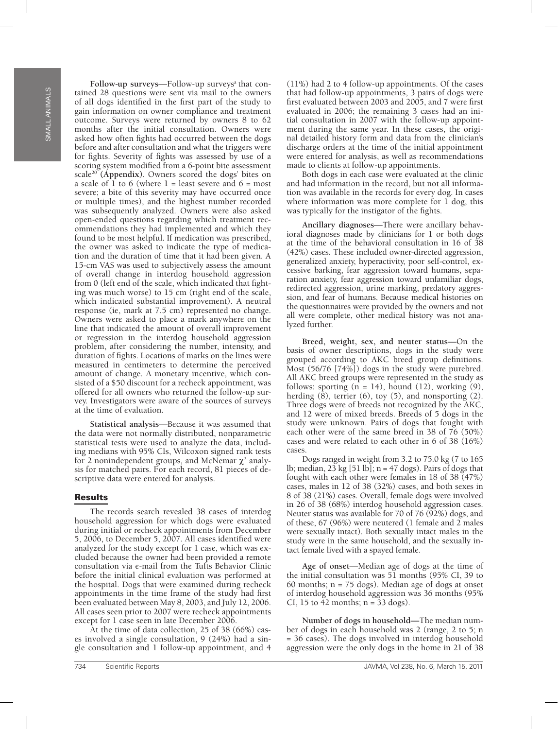Follow-up surveys—Follow-up surveys<sup>a</sup> that contained 28 questions were sent via mail to the owners of all dogs identified in the first part of the study to gain information on owner compliance and treatment outcome. Surveys were returned by owners 8 to 62 months after the initial consultation. Owners were asked how often fights had occurred between the dogs before and after consultation and what the triggers were for fights. Severity of fights was assessed by use of a scoring system modified from a 6-point bite assessment scale20 **(Appendix)**. Owners scored the dogs' bites on a scale of 1 to 6 (where  $1 =$  least severe and  $6 =$  most severe; a bite of this severity may have occurred once or multiple times), and the highest number recorded was subsequently analyzed. Owners were also asked open-ended questions regarding which treatment recommendations they had implemented and which they found to be most helpful. If medication was prescribed, the owner was asked to indicate the type of medication and the duration of time that it had been given. A 15-cm VAS was used to subjectively assess the amount of overall change in interdog household aggression from 0 (left end of the scale, which indicated that fighting was much worse) to 15 cm (right end of the scale, which indicated substantial improvement). A neutral response (ie, mark at 7.5 cm) represented no change. Owners were asked to place a mark anywhere on the line that indicated the amount of overall improvement or regression in the interdog household aggression problem, after considering the number, intensity, and duration of fights. Locations of marks on the lines were measured in centimeters to determine the perceived amount of change. A monetary incentive, which consisted of a \$50 discount for a recheck appointment, was offered for all owners who returned the follow-up survey. Investigators were aware of the sources of surveys at the time of evaluation.

**Statistical analysis**—Because it was assumed that the data were not normally distributed, nonparametric statistical tests were used to analyze the data, including medians with 95% CIs, Wilcoxon signed rank tests for 2 nonindependent groups, and McNemar  $\chi^2$  analysis for matched pairs. For each record, 81 pieces of descriptive data were entered for analysis.

### Results

The records search revealed 38 cases of interdog household aggression for which dogs were evaluated during initial or recheck appointments from December 5, 2006, to December 5, 2007. All cases identified were analyzed for the study except for 1 case, which was excluded because the owner had been provided a remote consultation via e-mail from the Tufts Behavior Clinic before the initial clinical evaluation was performed at the hospital. Dogs that were examined during recheck appointments in the time frame of the study had first been evaluated between May 8, 2003, and July 12, 2006. All cases seen prior to 2007 were recheck appointments except for 1 case seen in late December 2006.

At the time of data collection, 25 of 38 (66%) cases involved a single consultation, 9 (24%) had a single consultation and 1 follow-up appointment, and 4

(11%) had 2 to 4 follow-up appointments. Of the cases that had follow-up appointments, 3 pairs of dogs were first evaluated between 2003 and 2005, and 7 were first evaluated in 2006; the remaining 3 cases had an initial consultation in 2007 with the follow-up appointment during the same year. In these cases, the original detailed history form and data from the clinician's discharge orders at the time of the initial appointment were entered for analysis, as well as recommendations made to clients at follow-up appointments.

Both dogs in each case were evaluated at the clinic and had information in the record, but not all information was available in the records for every dog. In cases where information was more complete for  $\tilde{1}$  dog, this was typically for the instigator of the fights.

**Ancillary diagnoses**—There were ancillary behavioral diagnoses made by clinicians for 1 or both dogs at the time of the behavioral consultation in 16 of 38 (42%) cases. These included owner-directed aggression, generalized anxiety, hyperactivity, poor self-control, excessive barking, fear aggression toward humans, separation anxiety, fear aggression toward unfamiliar dogs, redirected aggression, urine marking, predatory aggression, and fear of humans. Because medical histories on the questionnaires were provided by the owners and not all were complete, other medical history was not analyzed further.

**Breed, weight, sex, and neuter status**—On the basis of owner descriptions, dogs in the study were grouped according to AKC breed group definitions. Most (56/76 [74%]) dogs in the study were purebred. All AKC breed groups were represented in the study as follows: sporting  $(n = 14)$ , hound  $(12)$ , working  $(9)$ , herding  $(8)$ , terrier  $(6)$ , toy  $(5)$ , and nonsporting  $(2)$ . Three dogs were of breeds not recognized by the AKC, and 12 were of mixed breeds. Breeds of 5 dogs in the study were unknown. Pairs of dogs that fought with each other were of the same breed in 38 of 76 (50%) cases and were related to each other in 6 of 38 (16%) cases.

Dogs ranged in weight from 3.2 to 75.0 kg (7 to 165 lb; median,  $23 \text{ kg}$  [51 lb]; n = 47 dogs). Pairs of dogs that fought with each other were females in 18 of 38  $(47%)$ cases, males in 12 of 38 (32%) cases, and both sexes in 8 of 38 (21%) cases. Overall, female dogs were involved in 26 of 38 (68%) interdog household aggression cases. Neuter status was available for 70 of 76 (92%) dogs, and of these, 67 (96%) were neutered (1 female and 2 males were sexually intact). Both sexually intact males in the study were in the same household, and the sexually intact female lived with a spayed female.

**Age of onset**—Median age of dogs at the time of the initial consultation was  $5\bar{1}$  months (95% CI, 39 to 60 months;  $n = 75$  dogs). Median age of dogs at onset of interdog household aggression was 36 months (95% CI, 15 to 42 months;  $n = 33$  dogs).

**Number of dogs in household—**The median number of dogs in each household was 2 (range, 2 to 5; n = 36 cases). The dogs involved in interdog household aggression were the only dogs in the home in 21 of 38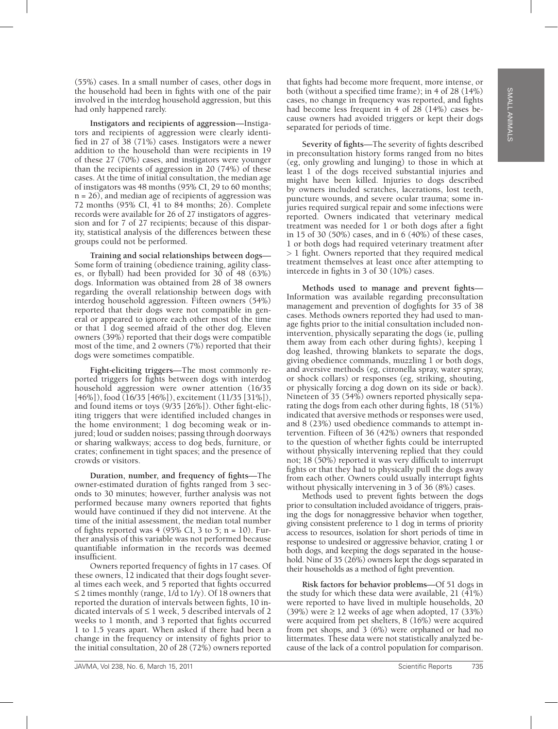(55%) cases. In a small number of cases, other dogs in the household had been in fights with one of the pair involved in the interdog household aggression, but this had only happened rarely.

**Instigators and recipients of aggression**—Instigators and recipients of aggression were clearly identified in 27 of 38 (71%) cases. Instigators were a newer addition to the household than were recipients in 19 of these 27 (70%) cases, and instigators were younger than the recipients of aggression in 20  $(74%)$  of these cases. At the time of initial consultation, the median age of instigators was 48 months (95% CI, 29 to 60 months;  $n = 26$ , and median age of recipients of aggression was 72 months (95% CI,  $\overline{41}$  to 84 months; 26). Complete records were available for 26 of 27 instigators of aggression and for 7 of 27 recipients; because of this disparity, statistical analysis of the differences between these groups could not be performed.

**Training and social relationships between dogs**— Some form of training (obedience training, agility classes, or flyball) had been provided for  $30$  of  $48$  (63%) dogs. Information was obtained from 28 of 38 owners regarding the overall relationship between dogs with interdog household aggression. Fifteen owners (54%) reported that their dogs were not compatible in general or appeared to ignore each other most of the time or that 1 dog seemed afraid of the other dog. Eleven owners (39%) reported that their dogs were compatible most of the time, and 2 owners (7%) reported that their dogs were sometimes compatible.

**Fight-eliciting triggers**—The most commonly reported triggers for fights between dogs with interdog household aggression were owner attention (16/35 [46%]), food (16/35 [46%]), excitement (11/35 [31%]), and found items or toys (9/35 [26%]). Other fight-eliciting triggers that were identified included changes in the home environment; 1 dog becoming weak or injured; loud or sudden noises; passing through doorways or sharing walkways; access to dog beds, furniture, or crates; confinement in tight spaces; and the presence of crowds or visitors.

**Duration, number, and frequency of fights**—The owner-estimated duration of fights ranged from 3 seconds to 30 minutes; however, further analysis was not performed because many owners reported that fights would have continued if they did not intervene. At the time of the initial assessment, the median total number of fights reported was  $4$  (95% CI, 3 to 5; n = 10). Further analysis of this variable was not performed because quantifiable information in the records was deemed insufficient.

Owners reported frequency of fights in 17 cases. Of these owners, 12 indicated that their dogs fought several times each week, and 5 reported that fights occurred  $\leq$  2 times monthly (range, 1/d to 1/y). Of 18 owners that reported the duration of intervals between fights, 10 indicated intervals of ≤ 1 week, 5 described intervals of 2 weeks to 1 month, and 3 reported that fights occurred 1 to 1.5 years apart. When asked if there had been a change in the frequency or intensity of fights prior to the initial consultation, 20 of 28 (72%) owners reported

that fights had become more frequent, more intense, or both (without a specified time frame); in 4 of 28 (14%) cases, no change in frequency was reported, and fights had become less frequent in 4 of  $28(14%)$  cases because owners had avoided triggers or kept their dogs separated for periods of time.

**Severity of fights**—The severity of fights described in preconsultation history forms ranged from no bites (eg, only growling and lunging) to those in which at least 1 of the dogs received substantial injuries and might have been killed. Injuries to dogs described by owners included scratches, lacerations, lost teeth, puncture wounds, and severe ocular trauma; some injuries required surgical repair and some infections were reported. Owners indicated that veterinary medical treatment was needed for 1 or both dogs after a fight in 15 of 30 (50%) cases, and in 6 (40%) of these cases, 1 or both dogs had required veterinary treatment after > 1 fight. Owners reported that they required medical treatment themselves at least once after attempting to intercede in fights in 3 of 30 (10%) cases.

**Methods used to manage and prevent fights**— Information was available regarding preconsultation management and prevention of dogfights for 35 of 38 cases. Methods owners reported they had used to manage fights prior to the initial consultation included nonintervention, physically separating the dogs (ie, pulling them away from each other during fights), keeping 1 dog leashed, throwing blankets to separate the dogs, giving obedience commands, muzzling 1 or both dogs, and aversive methods (eg, citronella spray, water spray, or shock collars) or responses (eg, striking, shouting, or physically forcing a dog down on its side or back). Nineteen of 35 (54%) owners reported physically separating the dogs from each other during fights, 18 (51%) indicated that aversive methods or responses were used, and 8 (23%) used obedience commands to attempt intervention. Fifteen of 36 (42%) owners that responded to the question of whether fights could be interrupted without physically intervening replied that they could not; 18 (50%) reported it was very difficult to interrupt fights or that they had to physically pull the dogs away from each other. Owners could usually interrupt fights without physically intervening in 3 of 36 (8%) cases.

Methods used to prevent fights between the dogs prior to consultation included avoidance of triggers, praising the dogs for nonaggressive behavior when together, giving consistent preference to 1 dog in terms of priority access to resources, isolation for short periods of time in response to undesired or aggressive behavior, crating 1 or both dogs, and keeping the dogs separated in the household. Nine of 35 (26%) owners kept the dogs separated in their households as a method of fight prevention.

**Risk factors for behavior problems**—Of 51 dogs in the study for which these data were available,  $21$  (41%) were reported to have lived in multiple households, 20  $(39%)$  were  $\geq 12$  weeks of age when adopted, 17 (33%) were acquired from pet shelters, 8 (16%) were acquired from pet shops, and 3 (6%) were orphaned or had no littermates. These data were not statistically analyzed because of the lack of a control population for comparison.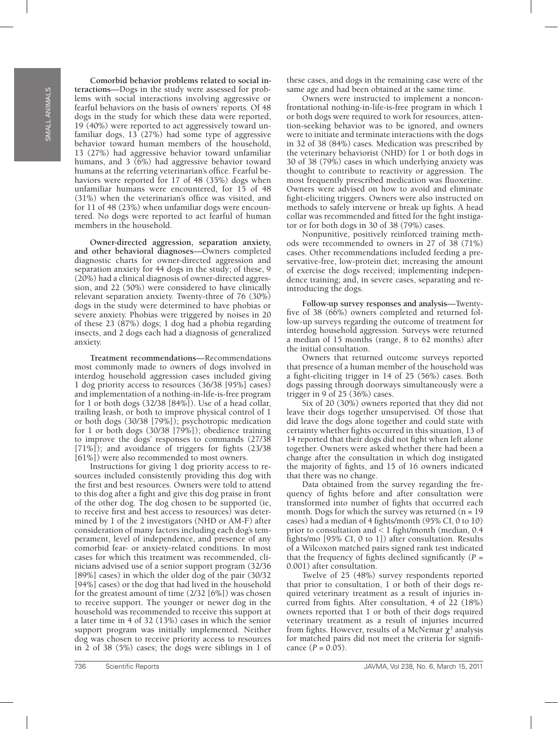**Comorbid behavior problems related to social interactions**—Dogs in the study were assessed for problems with social interactions involving aggressive or fearful behaviors on the basis of owners' reports. Of 48 dogs in the study for which these data were reported, 19 (40%) were reported to act aggressively toward unfamiliar dogs, 13 (27%) had some type of aggressive behavior toward human members of the household, 13 (27%) had aggressive behavior toward unfamiliar humans, and 3  $(6%)$  had aggressive behavior toward humans at the referring veterinarian's office. Fearful behaviors were reported for 17 of 48 (35%) dogs when unfamiliar humans were encountered, for 15 of 48 (31%) when the veterinarian's office was visited, and for 11 of 48 (23%) when unfamiliar dogs were encountered. No dogs were reported to act fearful of human members in the household.

**Owner-directed aggression, separation anxiety, and other behavioral diagnoses**—Owners completed diagnostic charts for owner-directed aggression and separation anxiety for 44 dogs in the study; of these, 9 (20%) had a clinical diagnosis of owner-directed aggression, and 22 (50%) were considered to have clinically relevant separation anxiety. Twenty-three of 76 (30%) dogs in the study were determined to have phobias or severe anxiety. Phobias were triggered by noises in 20 of these 23 (87%) dogs; 1 dog had a phobia regarding insects, and 2 dogs each had a diagnosis of generalized anxiety.

**Treatment recommendations**—Recommendations most commonly made to owners of dogs involved in interdog household aggression cases included giving 1 dog priority access to resources (36/38 [95%] cases) and implementation of a nothing-in-life-is-free program for 1 or both dogs (32/38 [84%]). Use of a head collar, trailing leash, or both to improve physical control of 1 or both dogs (30/38 [79%]); psychotropic medication for 1 or both dogs (30/38 [79%]); obedience training to improve the dogs' responses to commands (27/38 [71%]); and avoidance of triggers for fights (23/38 [61%]) were also recommended to most owners.

Instructions for giving 1 dog priority access to resources included consistently providing this dog with the first and best resources. Owners were told to attend to this dog after a fight and give this dog praise in front of the other dog. The dog chosen to be supported (ie, to receive first and best access to resources) was determined by 1 of the 2 investigators (NHD or AM-F) after consideration of many factors including each dog's temperament, level of independence, and presence of any comorbid fear- or anxiety-related conditions. In most cases for which this treatment was recommended, clinicians advised use of a senior support program (32/36 [89%] cases) in which the older dog of the pair (30/32 [94%] cases) or the dog that had lived in the household for the greatest amount of time (2/32 [6%]) was chosen to receive support. The younger or newer dog in the household was recommended to receive this support at a later time in 4 of 32 (13%) cases in which the senior support program was initially implemented. Neither dog was chosen to receive priority access to resources in 2 of 38 (5%) cases; the dogs were siblings in 1 of

these cases, and dogs in the remaining case were of the same age and had been obtained at the same time.

Owners were instructed to implement a nonconfrontational nothing-in-life-is-free program in which 1 or both dogs were required to work for resources, attention-seeking behavior was to be ignored, and owners were to initiate and terminate interactions with the dogs in 32 of 38 (84%) cases. Medication was prescribed by the veterinary behaviorist (NHD) for 1 or both dogs in 30 of 38 (79%) cases in which underlying anxiety was thought to contribute to reactivity or aggression. The most frequently prescribed medication was fluoxetine. Owners were advised on how to avoid and eliminate fight-eliciting triggers. Owners were also instructed on methods to safely intervene or break up fights. A head collar was recommended and fitted for the fight instigator or for both dogs in 30 of 38 (79%) cases.

Nonpunitive, positively reinforced training methods were recommended to owners in 27 of 38 (71%) cases. Other recommendations included feeding a preservative-free, low-protein diet; increasing the amount of exercise the dogs received; implementing independence training; and, in severe cases, separating and reintroducing the dogs.

**Follow-up survey responses and analysis**—Twentyfive of 38 (66%) owners completed and returned follow-up surveys regarding the outcome of treatment for interdog household aggression. Surveys were returned a median of 15 months (range, 8 to 62 months) after the initial consultation.

Owners that returned outcome surveys reported that presence of a human member of the household was a fight-eliciting trigger in 14 of 25 (56%) cases. Both dogs passing through doorways simultaneously were a trigger in 9 of 25 (36%) cases.

Six of 20 (30%) owners reported that they did not leave their dogs together unsupervised. Of those that did leave the dogs alone together and could state with certainty whether fights occurred in this situation, 13 of 14 reported that their dogs did not fight when left alone together. Owners were asked whether there had been a change after the consultation in which dog instigated the majority of fights, and 15 of 16 owners indicated that there was no change.

Data obtained from the survey regarding the frequency of fights before and after consultation were transformed into number of fights that occurred each month. Dogs for which the survey was returned  $(n = 19)$ cases) had a median of 4 fights/month (95% CI, 0 to 10) prior to consultation and  $\leq 1$  fight/month (median, 0.4 fights/mo [95% CI, 0 to 1]) after consultation. Results of a Wilcoxon matched pairs signed rank test indicated that the frequency of fights declined significantly (*P* = 0.001) after consultation.

Twelve of 25 (48%) survey respondents reported that prior to consultation, 1 or both of their dogs required veterinary treatment as a result of injuries incurred from fights. After consultation, 4 of 22 (18%) owners reported that 1 or both of their dogs required veterinary treatment as a result of injuries incurred from fights. However, results of a McNemar  $\chi^2$  analysis for matched pairs did not meet the criteria for significance  $(P = 0.05)$ .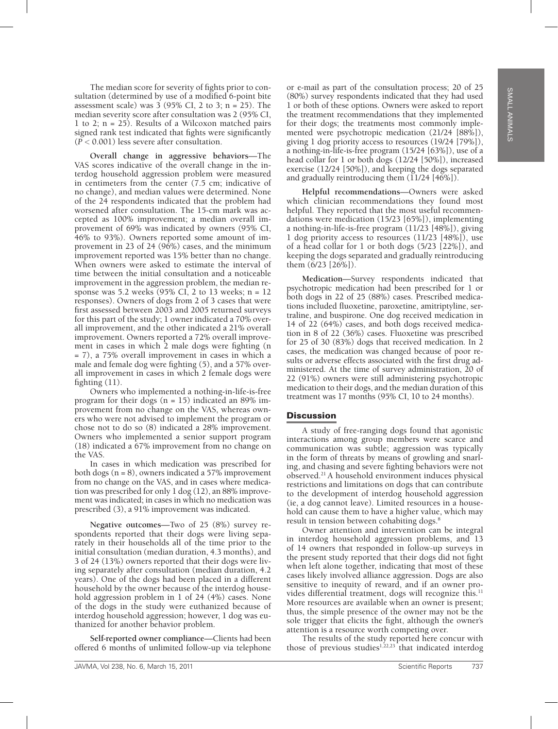The median score for severity of fights prior to consultation (determined by use of a modified 6-point bite assessment scale) was  $3(95\% \text{ CI}, 2 \text{ to } 3; \text{ n} = 25)$ . The median severity score after consultation was 2 (95% CI, 1 to 2;  $n = 25$ ). Results of a Wilcoxon matched pairs signed rank test indicated that fights were significantly (*P* < 0.001) less severe after consultation.

**Overall change in aggressive behaviors**—The VAS scores indicative of the overall change in the interdog household aggression problem were measured in centimeters from the center (7.5 cm; indicative of no change), and median values were determined. None of the 24 respondents indicated that the problem had worsened after consultation. The 15-cm mark was accepted as 100% improvement; a median overall improvement of 69% was indicated by owners (95% CI, 46% to 93%). Owners reported some amount of improvement in 23 of 24 (96%) cases, and the minimum improvement reported was 15% better than no change. When owners were asked to estimate the interval of time between the initial consultation and a noticeable improvement in the aggression problem, the median response was 5.2 weeks  $(95\% \text{ CI}, 2 \text{ to } 13 \text{ weeks}; n = 12)$ responses). Owners of dogs from 2 of 3 cases that were first assessed between 2003 and 2005 returned surveys for this part of the study; 1 owner indicated a 70% overall improvement, and the other indicated a 21% overall improvement. Owners reported a 72% overall improvement in cases in which 2 male dogs were fighting (n = 7), a 75% overall improvement in cases in which a male and female dog were fighting (5), and a 57% overall improvement in cases in which 2 female dogs were fighting (11).

Owners who implemented a nothing-in-life-is-free program for their dogs  $(n = 15)$  indicated an 89% improvement from no change on the VAS, whereas owners who were not advised to implement the program or chose not to do so (8) indicated a 28% improvement. Owners who implemented a senior support program (18) indicated a 67% improvement from no change on the VAS.

In cases in which medication was prescribed for both dogs  $(n = 8)$ , owners indicated a 57% improvement from no change on the VAS, and in cases where medication was prescribed for only 1 dog (12), an 88% improvement was indicated; in cases in which no medication was prescribed (3), a 91% improvement was indicated.

**Negative outcomes**—Two of 25 (8%) survey respondents reported that their dogs were living separately in their households all of the time prior to the initial consultation (median duration, 4.3 months), and 3 of 24 (13%) owners reported that their dogs were living separately after consultation (median duration, 4.2 years). One of the dogs had been placed in a different household by the owner because of the interdog household aggression problem in 1 of 24 (4%) cases. None of the dogs in the study were euthanized because of interdog household aggression; however, 1 dog was euthanized for another behavior problem.

**Self-reported owner compliance**—Clients had been offered 6 months of unlimited follow-up via telephone

or e-mail as part of the consultation process; 20 of 25 (80%) survey respondents indicated that they had used 1 or both of these options. Owners were asked to report the treatment recommendations that they implemented for their dogs; the treatments most commonly implemented were psychotropic medication (21/24 [88%]), giving 1 dog priority access to resources (19/24 [79%]), a nothing-in-life-is-free program (15/24 [63%]), use of a head collar for 1 or both dogs (12/24 [50%]), increased exercise (12/24 [50%]), and keeping the dogs separated and gradually reintroducing them (11/24 [46%]).

**Helpful recommendations**—Owners were asked which clinician recommendations they found most helpful. They reported that the most useful recommendations were medication (15/23 [65%]), implementing a nothing-in-life-is-free program (11/23 [48%]), giving 1 dog priority access to resources (11/23 [48%]), use of a head collar for 1 or both dogs (5/23 [22%]), and keeping the dogs separated and gradually reintroducing them (6/23 [26%]).

**Medication**—Survey respondents indicated that psychotropic medication had been prescribed for 1 or both dogs in 22 of 25 (88%) cases. Prescribed medications included fluoxetine, paroxetine, amitriptyline, sertraline, and buspirone. One dog received medication in 14 of 22 (64%) cases, and both dogs received medication in 8 of 22 (36%) cases. Fluoxetine was prescribed for 25 of 30 (83%) dogs that received medication. In 2 cases, the medication was changed because of poor results or adverse effects associated with the first drug administered. At the time of survey administration, 20 of 22 (91%) owners were still administering psychotropic medication to their dogs, and the median duration of this treatment was 17 months (95% CI, 10 to 24 months).

### **Discussion**

A study of free-ranging dogs found that agonistic interactions among group members were scarce and communication was subtle; aggression was typically in the form of threats by means of growling and snarling, and chasing and severe fighting behaviors were not observed.21 A household environment induces physical restrictions and limitations on dogs that can contribute to the development of interdog household aggression (ie, a dog cannot leave). Limited resources in a household can cause them to have a higher value, which may result in tension between cohabiting dogs.<sup>8</sup>

Owner attention and intervention can be integral in interdog household aggression problems, and 13 of 14 owners that responded in follow-up surveys in the present study reported that their dogs did not fight when left alone together, indicating that most of these cases likely involved alliance aggression. Dogs are also sensitive to inequity of reward, and if an owner provides differential treatment, dogs will recognize this.<sup>11</sup> More resources are available when an owner is present; thus, the simple presence of the owner may not be the sole trigger that elicits the fight, although the owner's attention is a resource worth competing over.

The results of the study reported here concur with those of previous studies<sup>1,22,23</sup> that indicated interdog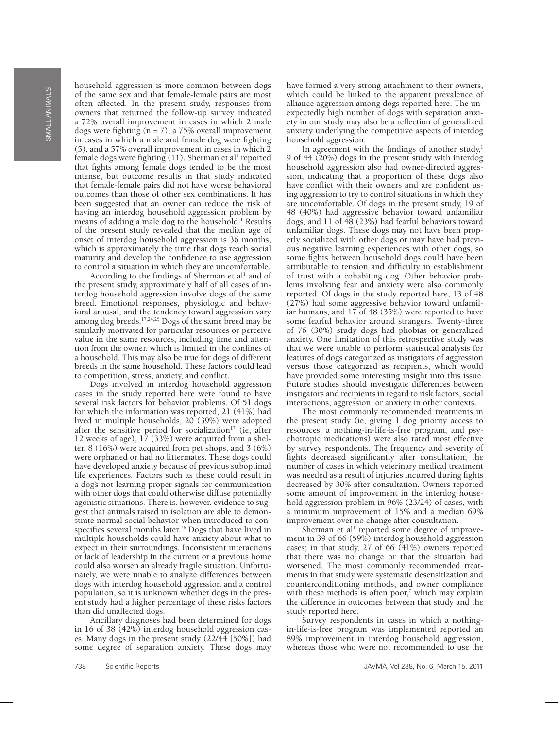household aggression is more common between dogs of the same sex and that female-female pairs are most often affected. In the present study, responses from owners that returned the follow-up survey indicated a 72% overall improvement in cases in which 2 male dogs were fighting  $(n = 7)$ , a 75% overall improvement in cases in which a male and female dog were fighting (5), and a 57% overall improvement in cases in which 2 female dogs were fighting (11). Sherman et al<sup>1</sup> reported that fights among female dogs tended to be the most intense, but outcome results in that study indicated that female-female pairs did not have worse behavioral outcomes than those of other sex combinations. It has been suggested that an owner can reduce the risk of having an interdog household aggression problem by means of adding a male dog to the household.<sup>1</sup> Results of the present study revealed that the median age of onset of interdog household aggression is 36 months, which is approximately the time that dogs reach social maturity and develop the confidence to use aggression to control a situation in which they are uncomfortable.

According to the findings of Sherman et al<sup>1</sup> and of the present study, approximately half of all cases of interdog household aggression involve dogs of the same breed. Emotional responses, physiologic and behavioral arousal, and the tendency toward aggression vary among dog breeds.<sup>17,24,25</sup> Dogs of the same breed may be similarly motivated for particular resources or perceive value in the same resources, including time and attention from the owner, which is limited in the confines of a household. This may also be true for dogs of different breeds in the same household. These factors could lead to competition, stress, anxiety, and conflict.

Dogs involved in interdog household aggression cases in the study reported here were found to have several risk factors for behavior problems. Of 51 dogs for which the information was reported, 21 (41%) had lived in multiple households, 20 (39%) were adopted after the sensitive period for socialization<sup>17</sup> (ie, after 12 weeks of age),  $17$  (33%) were acquired from a shelter, 8 (16%) were acquired from pet shops, and 3 (6%) were orphaned or had no littermates. These dogs could have developed anxiety because of previous suboptimal life experiences. Factors such as these could result in a dog's not learning proper signals for communication with other dogs that could otherwise diffuse potentially agonistic situations. There is, however, evidence to suggest that animals raised in isolation are able to demonstrate normal social behavior when introduced to conspecifics several months later.<sup>26</sup> Dogs that have lived in multiple households could have anxiety about what to expect in their surroundings. Inconsistent interactions or lack of leadership in the current or a previous home could also worsen an already fragile situation. Unfortunately, we were unable to analyze differences between dogs with interdog household aggression and a control population, so it is unknown whether dogs in the present study had a higher percentage of these risks factors than did unaffected dogs.

Ancillary diagnoses had been determined for dogs in 16 of 38 (42%) interdog household aggression cases. Many dogs in the present study (22/44 [50%]) had some degree of separation anxiety. These dogs may

have formed a very strong attachment to their owners, which could be linked to the apparent prevalence of alliance aggression among dogs reported here. The unexpectedly high number of dogs with separation anxiety in our study may also be a reflection of generalized anxiety underlying the competitive aspects of interdog household aggression.

In agreement with the findings of another study, $1$ 9 of 44 (20%) dogs in the present study with interdog household aggression also had owner-directed aggression, indicating that a proportion of these dogs also have conflict with their owners and are confident using aggression to try to control situations in which they are uncomfortable. Of dogs in the present study, 19 of 48 (40%) had aggressive behavior toward unfamiliar dogs, and 11 of 48 (23%) had fearful behaviors toward unfamiliar dogs. These dogs may not have been properly socialized with other dogs or may have had previous negative learning experiences with other dogs, so some fights between household dogs could have been attributable to tension and difficulty in establishment of trust with a cohabiting dog. Other behavior problems involving fear and anxiety were also commonly reported. Of dogs in the study reported here, 13 of 48 (27%) had some aggressive behavior toward unfamiliar humans, and 17 of 48 (35%) were reported to have some fearful behavior around strangers. Twenty-three of 76 (30%) study dogs had phobias or generalized anxiety. One limitation of this retrospective study was that we were unable to perform statistical analysis for features of dogs categorized as instigators of aggression versus those categorized as recipients, which would have provided some interesting insight into this issue. Future studies should investigate differences between instigators and recipients in regard to risk factors, social interactions, aggression, or anxiety in other contexts.

The most commonly recommended treatments in the present study (ie, giving 1 dog priority access to resources, a nothing-in-life-is-free program, and psychotropic medications) were also rated most effective by survey respondents. The frequency and severity of fights decreased significantly after consultation; the number of cases in which veterinary medical treatment was needed as a result of injuries incurred during fights decreased by 30% after consultation. Owners reported some amount of improvement in the interdog household aggression problem in 96% (23/24) of cases, with a minimum improvement of 15% and a median 69% improvement over no change after consultation.

Sherman et al<sup>1</sup> reported some degree of improvement in 39 of 66 (59%) interdog household aggression cases; in that study, 27 of 66 (41%) owners reported that there was no change or that the situation had worsened. The most commonly recommended treatments in that study were systematic desensitization and counterconditioning methods, and owner compliance with these methods is often poor, $7$  which may explain the difference in outcomes between that study and the study reported here.

Survey respondents in cases in which a nothingin-life-is-free program was implemented reported an 89% improvement in interdog household aggression, whereas those who were not recommended to use the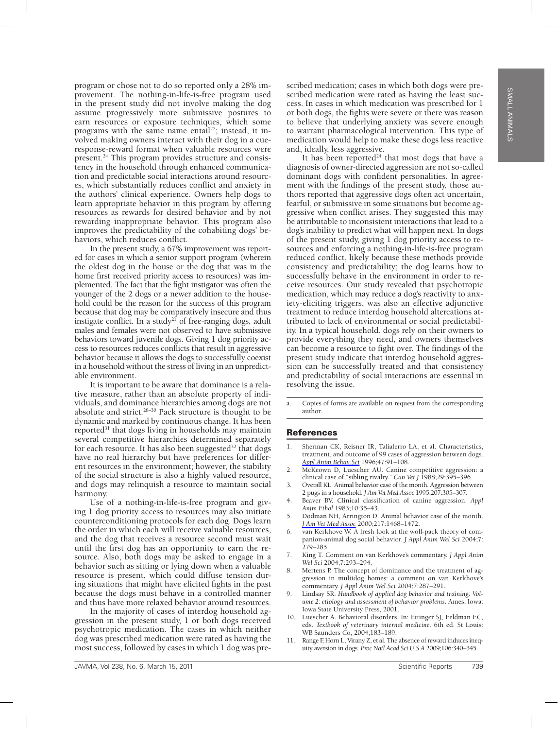program or chose not to do so reported only a 28% improvement. The nothing-in-life-is-free program used in the present study did not involve making the dog assume progressively more submissive postures to earn resources or exposure techniques, which some programs with the same name entail<sup>27</sup>; instead, it involved making owners interact with their dog in a cueresponse-reward format when valuable resources were present.24 This program provides structure and consistency in the household through enhanced communication and predictable social interactions around resources, which substantially reduces conflict and anxiety in the authors' clinical experience. Owners help dogs to learn appropriate behavior in this program by offering resources as rewards for desired behavior and by not rewarding inappropriate behavior. This program also improves the predictability of the cohabiting dogs' behaviors, which reduces conflict.

In the present study, a 67% improvement was reported for cases in which a senior support program (wherein the oldest dog in the house or the dog that was in the home first received priority access to resources) was implemented. The fact that the fight instigator was often the younger of the 2 dogs or a newer addition to the household could be the reason for the success of this program because that dog may be comparatively insecure and thus instigate conflict. In a study<sup>21</sup> of free-ranging dogs, adult males and females were not observed to have submissive behaviors toward juvenile dogs. Giving 1 dog priority access to resources reduces conflicts that result in aggressive behavior because it allows the dogs to successfully coexist in a household without the stress of living in an unpredictable environment.

It is important to be aware that dominance is a relative measure, rather than an absolute property of individuals, and dominance hierarchies among dogs are not absolute and strict.28–30 Pack structure is thought to be dynamic and marked by continuous change. It has been reported31 that dogs living in households may maintain several competitive hierarchies determined separately for each resource. It has also been suggested<sup>32</sup> that dogs have no real hierarchy but have preferences for different resources in the environment; however, the stability of the social structure is also a highly valued resource, and dogs may relinquish a resource to maintain social harmony.

Use of a nothing-in-life-is-free program and giving 1 dog priority access to resources may also initiate counterconditioning protocols for each dog. Dogs learn the order in which each will receive valuable resources, and the dog that receives a resource second must wait until the first dog has an opportunity to earn the resource. Also, both dogs may be asked to engage in a behavior such as sitting or lying down when a valuable resource is present, which could diffuse tension during situations that might have elicited fights in the past because the dogs must behave in a controlled manner and thus have more relaxed behavior around resources.

In the majority of cases of interdog household aggression in the present study, 1 or both dogs received psychotropic medication. The cases in which neither dog was prescribed medication were rated as having the most success, followed by cases in which 1 dog was prescribed medication; cases in which both dogs were prescribed medication were rated as having the least success. In cases in which medication was prescribed for 1 or both dogs, the fights were severe or there was reason to believe that underlying anxiety was severe enough to warrant pharmacological intervention. This type of medication would help to make these dogs less reactive and, ideally, less aggressive.

It has been reported<sup>24</sup> that most dogs that have a diagnosis of owner-directed aggression are not so-called dominant dogs with confident personalities. In agreement with the findings of the present study, those authors reported that aggressive dogs often act uncertain, fearful, or submissive in some situations but become aggressive when conflict arises. They suggested this may be attributable to inconsistent interactions that lead to a dog's inability to predict what will happen next. In dogs of the present study, giving 1 dog priority access to resources and enforcing a nothing-in-life-is-free program reduced conflict, likely because these methods provide consistency and predictability; the dog learns how to successfully behave in the environment in order to receive resources. Our study revealed that psychotropic medication, which may reduce a dog's reactivity to anxiety-eliciting triggers, was also an effective adjunctive treatment to reduce interdog household altercations attributed to lack of environmental or social predictability. In a typical household, dogs rely on their owners to provide everything they need, and owners themselves can become a resource to fight over. The findings of the present study indicate that interdog household aggression can be successfully treated and that consistency and predictability of social interactions are essential in resolving the issue.

a. Copies of forms are available on request from the corresponding author.

#### References

- 1. Sherman CK, Reisner IR, Taliaferro LA, et al. Characteristics, treatment, and outcome of 99 cases of aggression between dogs. *[Appl Anim Behav Sci](http://avmajournals.avma.org/action/showLinks?doi=10.2460%2Fjavma.238.6.731&crossref=10.1016%2F0168-1591%2895%2901013-0&citationId=p_2)* 1996;47:91–108.
- 2. McKeown D, Luescher AU. Canine competitive aggression: a clinical case of "sibling rivalry." *Can Vet J* 1988;29:395–396.
- 3. Overall KL. Animal behavior case of the month. Aggression between 2 pugs in a household. *J Am Vet Med Assoc* 1995;207:305–307.
- 4. Beaver BV. Clinical classification of canine aggression. *Appl Anim Ethol* 1983;10:35–43.
- 5. Dodman NH, Arrington D. Animal behavior case of the month. *[J Am Vet Med Assoc](http://avmajournals.avma.org/action/showLinks?doi=10.2460%2Fjavma.238.6.731&system=10.2460%2Fjavma.2000.217.1468&citationId=p_10)* 2000;217:1468–1472.
- 6. van Kerkhove W. A fresh look at the wolf-pack theory of companion-animal dog social behavior. *J Appl Anim Wel Sci* 2004;7: 279–285.
- 7. King T. Comment on van Kerkhove's commentary. *J Appl Anim Wel Sci* 2004;7:293–294.
- Mertens P. The concept of dominance and the treatment of aggression in multidog homes: a comment on van Kerkhove's commentary. *J Appl Anim Wel Sci* 2004;7:287–291.
- 9. Lindsay SR. *Handbook of applied dog behavior and training. Volume 2: etiology and assessment of behavior problems*. Ames, Iowa: Iowa State University Press, 2001.
- 10. Luescher A. Behavioral disorders. In: Ettinger SJ, Feldman EC, eds. *Textbook of veterinary internal medicine*. 6th ed. St Louis: WB Saunders Co, 2004;183–189.
- 11. Range F, Horn L, Virany Z, et al. The absence of reward induces inequity aversion in dogs. *Proc Natl Acad Sci U S A* 2009;106:340–345.